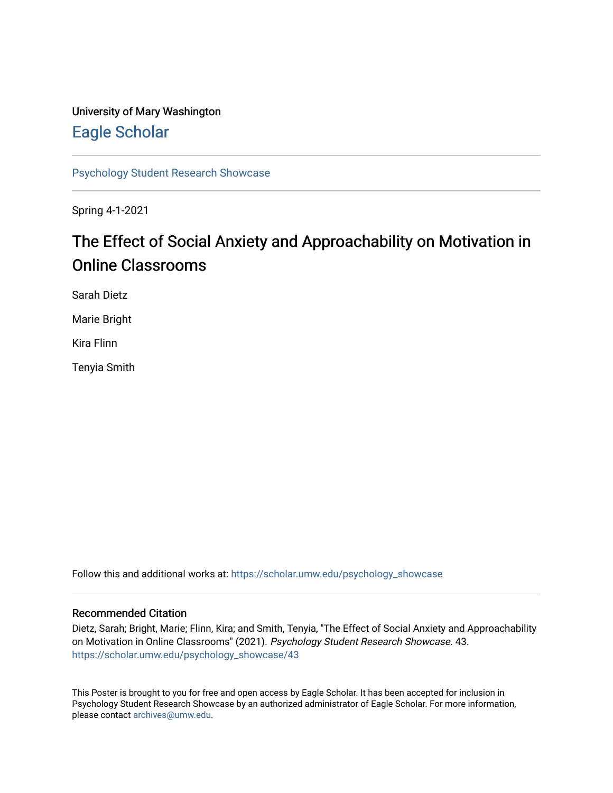## University of Mary Washington [Eagle Scholar](https://scholar.umw.edu/)

[Psychology Student Research Showcase](https://scholar.umw.edu/psychology_showcase)

Spring 4-1-2021

## The Effect of Social Anxiety and Approachability on Motivation in Online Classrooms

Sarah Dietz

Marie Bright

Kira Flinn

Tenyia Smith

Follow this and additional works at: [https://scholar.umw.edu/psychology\\_showcase](https://scholar.umw.edu/psychology_showcase?utm_source=scholar.umw.edu%2Fpsychology_showcase%2F43&utm_medium=PDF&utm_campaign=PDFCoverPages)

### Recommended Citation

Dietz, Sarah; Bright, Marie; Flinn, Kira; and Smith, Tenyia, "The Effect of Social Anxiety and Approachability on Motivation in Online Classrooms" (2021). Psychology Student Research Showcase. 43. [https://scholar.umw.edu/psychology\\_showcase/43](https://scholar.umw.edu/psychology_showcase/43?utm_source=scholar.umw.edu%2Fpsychology_showcase%2F43&utm_medium=PDF&utm_campaign=PDFCoverPages) 

This Poster is brought to you for free and open access by Eagle Scholar. It has been accepted for inclusion in Psychology Student Research Showcase by an authorized administrator of Eagle Scholar. For more information, please contact [archives@umw.edu.](mailto:archives@umw.edu)